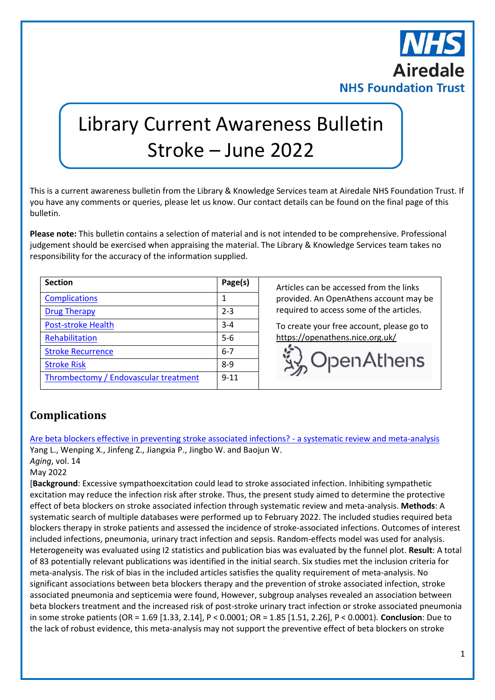

# Library Current Awareness Bulletin Stroke – June 2022

This is a current awareness bulletin from the Library & Knowledge Services team at Airedale NHS Foundation Trust. If you have any comments or queries, please let us know. Our contact details can be found on the final page of this bulletin.

**Please note:** This bulletin contains a selection of material and is not intended to be comprehensive. Professional judgement should be exercised when appraising the material. The Library & Knowledge Services team takes no responsibility for the accuracy of the information supplied.

| <b>Section</b>                        | Page(s)  |
|---------------------------------------|----------|
| <b>Complications</b>                  | 1        |
| <b>Drug Therapy</b>                   | $2 - 3$  |
| <b>Post-stroke Health</b>             | $3 - 4$  |
| Rehabilitation                        | $5-6$    |
| <b>Stroke Recurrence</b>              | $6 - 7$  |
| <b>Stroke Risk</b>                    | $8-9$    |
| Thrombectomy / Endovascular treatment | $9 - 11$ |

**Section Page(s)** Articles can be accessed from the links provided. An OpenAthens account may be required to access some of the articles.

To create your free account, please go to <https://openathens.nice.org.uk/>



## <span id="page-0-0"></span>**Complications**

[Are beta blockers effective in preventing stroke associated infections? -](https://libkey.io/libraries/2554/10.18632/aging.204086) a systematic review and meta-analysis Yang L., Wenping X., Jinfeng Z., Jiangxia P., Jingbo W. and Baojun W.

*Aging*, vol. 14

May 2022

[**Background**: Excessive sympathoexcitation could lead to stroke associated infection. Inhibiting sympathetic excitation may reduce the infection risk after stroke. Thus, the present study aimed to determine the protective effect of beta blockers on stroke associated infection through systematic review and meta-analysis. **Methods**: A systematic search of multiple databases were performed up to February 2022. The included studies required beta blockers therapy in stroke patients and assessed the incidence of stroke-associated infections. Outcomes of interest included infections, pneumonia, urinary tract infection and sepsis. Random-effects model was used for analysis. Heterogeneity was evaluated using I2 statistics and publication bias was evaluated by the funnel plot. **Result**: A total of 83 potentially relevant publications was identified in the initial search. Six studies met the inclusion criteria for meta-analysis. The risk of bias in the included articles satisfies the quality requirement of meta-analysis. No significant associations between beta blockers therapy and the prevention of stroke associated infection, stroke associated pneumonia and septicemia were found, However, subgroup analyses revealed an association between beta blockers treatment and the increased risk of post-stroke urinary tract infection or stroke associated pneumonia in some stroke patients (OR = 1.69 [1.33, 2.14], P < 0.0001; OR = 1.85 [1.51, 2.26], P < 0.0001). **Conclusion**: Due to the lack of robust evidence, this meta-analysis may not support the preventive effect of beta blockers on stroke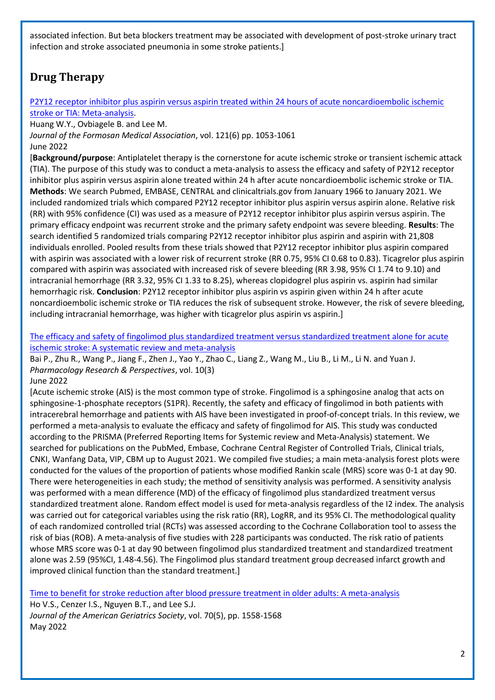associated infection. But beta blockers treatment may be associated with development of post-stroke urinary tract infection and stroke associated pneumonia in some stroke patients.]

## <span id="page-1-0"></span>**Drug Therapy**

[P2Y12 receptor inhibitor plus aspirin versus aspirin treated within 24 hours of acute noncardioembolic ischemic](https://libkey.io/libraries/2554/10.1016/j.jfma.2021.08.006)  [stroke or TIA: Meta-analysis.](https://libkey.io/libraries/2554/10.1016/j.jfma.2021.08.006)

Huang W.Y., Ovbiagele B. and Lee M.

*Journal of the Formosan Medical Association*, vol. 121(6) pp. 1053-1061

June 2022

[**Background/purpose**: Antiplatelet therapy is the cornerstone for acute ischemic stroke or transient ischemic attack (TIA). The purpose of this study was to conduct a meta-analysis to assess the efficacy and safety of P2Y12 receptor inhibitor plus aspirin versus aspirin alone treated within 24 h after acute noncardioembolic ischemic stroke or TIA. **Methods**: We search Pubmed, EMBASE, CENTRAL and clinicaltrials.gov from January 1966 to January 2021. We included randomized trials which compared P2Y12 receptor inhibitor plus aspirin versus aspirin alone. Relative risk (RR) with 95% confidence (CI) was used as a measure of P2Y12 receptor inhibitor plus aspirin versus aspirin. The primary efficacy endpoint was recurrent stroke and the primary safety endpoint was severe bleeding. **Results**: The search identified 5 randomized trials comparing P2Y12 receptor inhibitor plus aspirin and aspirin with 21,808 individuals enrolled. Pooled results from these trials showed that P2Y12 receptor inhibitor plus aspirin compared with aspirin was associated with a lower risk of recurrent stroke (RR 0.75, 95% CI 0.68 to 0.83). Ticagrelor plus aspirin compared with aspirin was associated with increased risk of severe bleeding (RR 3.98, 95% CI 1.74 to 9.10) and intracranial hemorrhage (RR 3.32, 95% CI 1.33 to 8.25), whereas clopidogrel plus aspirin vs. aspirin had similar hemorrhagic risk. **Conclusion**: P2Y12 receptor inhibitor plus aspirin vs aspirin given within 24 h after acute noncardioembolic ischemic stroke or TIA reduces the risk of subsequent stroke. However, the risk of severe bleeding, including intracranial hemorrhage, was higher with ticagrelor plus aspirin vs aspirin.]

[The efficacy and safety of fingolimod plus standardized treatment versus standardized treatment alone for acute](https://pubmed.ncbi.nlm.nih.gov/35585652/)  [ischemic stroke: A systematic review and meta-analysis](https://pubmed.ncbi.nlm.nih.gov/35585652/)

Bai P., Zhu R., Wang P., Jiang F., Zhen J., Yao Y., Zhao C., Liang Z., Wang M., Liu B., Li M., Li N. and Yuan J. *Pharmacology Research & Perspectives*, vol. 10(3)

June 2022

[Acute ischemic stroke (AIS) is the most common type of stroke. Fingolimod is a sphingosine analog that acts on sphingosine-1-phosphate receptors (S1PR). Recently, the safety and efficacy of fingolimod in both patients with intracerebral hemorrhage and patients with AIS have been investigated in proof-of-concept trials. In this review, we performed a meta-analysis to evaluate the efficacy and safety of fingolimod for AIS. This study was conducted according to the PRISMA (Preferred Reporting Items for Systemic review and Meta-Analysis) statement. We searched for publications on the PubMed, Embase, Cochrane Central Register of Controlled Trials, Clinical trials, CNKI, Wanfang Data, VIP, CBM up to August 2021. We compiled five studies; a main meta-analysis forest plots were conducted for the values of the proportion of patients whose modified Rankin scale (MRS) score was 0-1 at day 90. There were heterogeneities in each study; the method of sensitivity analysis was performed. A sensitivity analysis was performed with a mean difference (MD) of the efficacy of fingolimod plus standardized treatment versus standardized treatment alone. Random effect model is used for meta-analysis regardless of the I2 index. The analysis was carried out for categorical variables using the risk ratio (RR), LogRR, and its 95% CI. The methodological quality of each randomized controlled trial (RCTs) was assessed according to the Cochrane Collaboration tool to assess the risk of bias (ROB). A meta-analysis of five studies with 228 participants was conducted. The risk ratio of patients whose MRS score was 0-1 at day 90 between fingolimod plus standardized treatment and standardized treatment alone was 2.59 (95%CI, 1.48-4.56). The Fingolimod plus standard treatment group decreased infarct growth and improved clinical function than the standard treatment.]

[Time to benefit for stroke reduction after blood pressure treatment in older adults: A meta-analysis](https://libkey.io/libraries/2554/10.1111/jgs.17684)

Ho V.S., Cenzer I.S., Nguyen B.T., and Lee S.J. *Journal of the American Geriatrics Society*, vol. 70(5), pp. 1558-1568 May 2022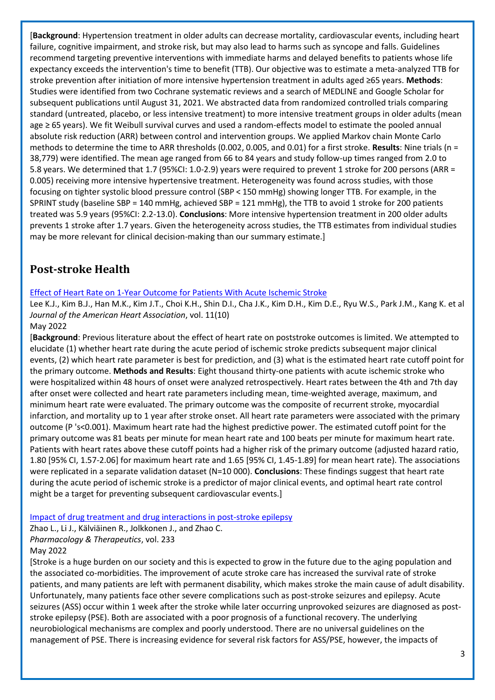[**Background**: Hypertension treatment in older adults can decrease mortality, cardiovascular events, including heart failure, cognitive impairment, and stroke risk, but may also lead to harms such as syncope and falls. Guidelines recommend targeting preventive interventions with immediate harms and delayed benefits to patients whose life expectancy exceeds the intervention's time to benefit (TTB). Our objective was to estimate a meta-analyzed TTB for stroke prevention after initiation of more intensive hypertension treatment in adults aged ≥65 years. **Methods**: Studies were identified from two Cochrane systematic reviews and a search of MEDLINE and Google Scholar for subsequent publications until August 31, 2021. We abstracted data from randomized controlled trials comparing standard (untreated, placebo, or less intensive treatment) to more intensive treatment groups in older adults (mean age ≥ 65 years). We fit Weibull survival curves and used a random-effects model to estimate the pooled annual absolute risk reduction (ARR) between control and intervention groups. We applied Markov chain Monte Carlo methods to determine the time to ARR thresholds (0.002, 0.005, and 0.01) for a first stroke. **Results**: Nine trials (n = 38,779) were identified. The mean age ranged from 66 to 84 years and study follow-up times ranged from 2.0 to 5.8 years. We determined that 1.7 (95%CI: 1.0-2.9) years were required to prevent 1 stroke for 200 persons (ARR = 0.005) receiving more intensive hypertensive treatment. Heterogeneity was found across studies, with those focusing on tighter systolic blood pressure control (SBP < 150 mmHg) showing longer TTB. For example, in the SPRINT study (baseline SBP = 140 mmHg, achieved SBP = 121 mmHg), the TTB to avoid 1 stroke for 200 patients treated was 5.9 years (95%CI: 2.2-13.0). **Conclusions**: More intensive hypertension treatment in 200 older adults prevents 1 stroke after 1.7 years. Given the heterogeneity across studies, the TTB estimates from individual studies may be more relevant for clinical decision-making than our summary estimate.]

## <span id="page-2-0"></span>**Post-stroke Health**

#### [Effect of Heart Rate on 1-Year Outcome for Patients With Acute Ischemic Stroke](https://libkey.io/libraries/2554/10.1161/JAHA.122.025861)

Lee K.J., Kim B.J., Han M.K., Kim J.T., Choi K.H., Shin D.I., Cha J.K., Kim D.H., Kim D.E., Ryu W.S., Park J.M., Kang K. et al *Journal of the American Heart Association*, vol. 11(10)

May 2022

[**Background**: Previous literature about the effect of heart rate on poststroke outcomes is limited. We attempted to elucidate (1) whether heart rate during the acute period of ischemic stroke predicts subsequent major clinical events, (2) which heart rate parameter is best for prediction, and (3) what is the estimated heart rate cutoff point for the primary outcome. **Methods and Results**: Eight thousand thirty-one patients with acute ischemic stroke who were hospitalized within 48 hours of onset were analyzed retrospectively. Heart rates between the 4th and 7th day after onset were collected and heart rate parameters including mean, time-weighted average, maximum, and minimum heart rate were evaluated. The primary outcome was the composite of recurrent stroke, myocardial infarction, and mortality up to 1 year after stroke onset. All heart rate parameters were associated with the primary outcome (P 's<0.001). Maximum heart rate had the highest predictive power. The estimated cutoff point for the primary outcome was 81 beats per minute for mean heart rate and 100 beats per minute for maximum heart rate. Patients with heart rates above these cutoff points had a higher risk of the primary outcome (adjusted hazard ratio, 1.80 [95% CI, 1.57-2.06] for maximum heart rate and 1.65 [95% CI, 1.45-1.89] for mean heart rate). The associations were replicated in a separate validation dataset (N=10 000). **Conclusions**: These findings suggest that heart rate during the acute period of ischemic stroke is a predictor of major clinical events, and optimal heart rate control might be a target for preventing subsequent cardiovascular events.]

#### [Impact of drug treatment and drug interactions in post-stroke epilepsy](https://libkey.io/libraries/2554/10.1016/j.pharmthera.2021.108030)

Zhao L., Li J., Kälviäinen R., Jolkkonen J., and Zhao C.

#### May 2022

[Stroke is a huge burden on our society and this is expected to grow in the future due to the aging population and the associated co-morbidities. The improvement of acute stroke care has increased the survival rate of stroke patients, and many patients are left with permanent disability, which makes stroke the main cause of adult disability. Unfortunately, many patients face other severe complications such as post-stroke seizures and epilepsy. Acute seizures (ASS) occur within 1 week after the stroke while later occurring unprovoked seizures are diagnosed as poststroke epilepsy (PSE). Both are associated with a poor prognosis of a functional recovery. The underlying neurobiological mechanisms are complex and poorly understood. There are no universal guidelines on the management of PSE. There is increasing evidence for several risk factors for ASS/PSE, however, the impacts of

*Pharmacology & Therapeutics*, vol. 233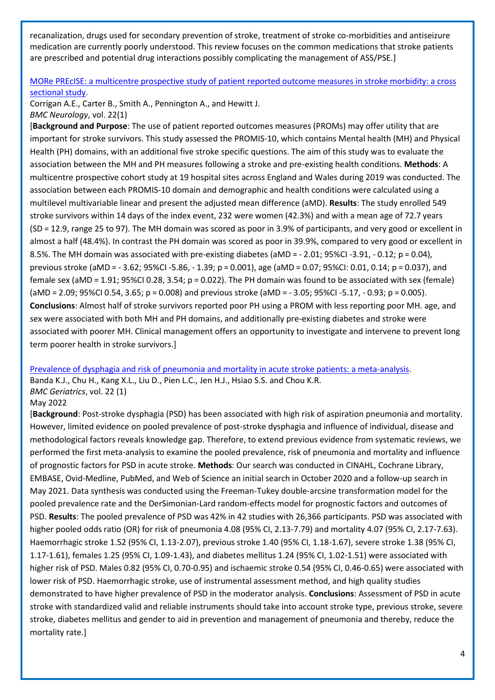recanalization, drugs used for secondary prevention of stroke, treatment of stroke co-morbidities and antiseizure medication are currently poorly understood. This review focuses on the common medications that stroke patients are prescribed and potential drug interactions possibly complicating the management of ASS/PSE.]

#### [MORe PREcISE: a multicentre prospective study of patient reported outcome measures in stroke morbidity: a cross](https://libkey.io/libraries/2554/10.1186/s12883-022-02634-0)  [sectional study.](https://libkey.io/libraries/2554/10.1186/s12883-022-02634-0)

Corrigan A.E., Carter B., Smith A., Pennington A., and Hewitt J. *BMC Neurology*, vol. 22(1)

[**Background and Purpose**: The use of patient reported outcomes measures (PROMs) may offer utility that are important for stroke survivors. This study assessed the PROMIS-10, which contains Mental health (MH) and Physical Health (PH) domains, with an additional five stroke specific questions. The aim of this study was to evaluate the association between the MH and PH measures following a stroke and pre-existing health conditions. **Methods**: A multicentre prospective cohort study at 19 hospital sites across England and Wales during 2019 was conducted. The association between each PROMIS-10 domain and demographic and health conditions were calculated using a multilevel multivariable linear and present the adjusted mean difference (aMD). **Results**: The study enrolled 549 stroke survivors within 14 days of the index event, 232 were women (42.3%) and with a mean age of 72.7 years (SD = 12.9, range 25 to 97). The MH domain was scored as poor in 3.9% of participants, and very good or excellent in almost a half (48.4%). In contrast the PH domain was scored as poor in 39.9%, compared to very good or excellent in 8.5%. The MH domain was associated with pre-existing diabetes (aMD = - 2.01; 95%CI -3.91, - 0.12; p = 0.04), previous stroke (aMD = - 3.62; 95%CI -5.86, - 1.39; p = 0.001), age (aMD = 0.07; 95%CI: 0.01, 0.14; p = 0.037), and female sex (aMD = 1.91; 95%CI 0.28, 3.54; p = 0.022). The PH domain was found to be associated with sex (female) (aMD = 2.09; 95%CI 0.54, 3.65; p = 0.008) and previous stroke (aMD = - 3.05; 95%CI -5.17, - 0.93; p = 0.005). **Conclusions**: Almost half of stroke survivors reported poor PH using a PROM with less reporting poor MH. age, and sex were associated with both MH and PH domains, and additionally pre-existing diabetes and stroke were associated with poorer MH. Clinical management offers an opportunity to investigate and intervene to prevent long term poorer health in stroke survivors.]

[Prevalence of dysphagia and risk of pneumonia and mortality in acute stroke patients: a meta-analysis.](https://libkey.io/libraries/2554/10.1186/s12877-022-02960-5) Banda K.J., Chu H., Kang X.L., Liu D., Pien L.C., Jen H.J., Hsiao S.S. and Chou K.R. *BMC Geriatrics*, vol. 22 (1)

#### May 2022

[**Background**: Post-stroke dysphagia (PSD) has been associated with high risk of aspiration pneumonia and mortality. However, limited evidence on pooled prevalence of post-stroke dysphagia and influence of individual, disease and methodological factors reveals knowledge gap. Therefore, to extend previous evidence from systematic reviews, we performed the first meta-analysis to examine the pooled prevalence, risk of pneumonia and mortality and influence of prognostic factors for PSD in acute stroke. **Methods**: Our search was conducted in CINAHL, Cochrane Library, EMBASE, Ovid-Medline, PubMed, and Web of Science an initial search in October 2020 and a follow-up search in May 2021. Data synthesis was conducted using the Freeman-Tukey double-arcsine transformation model for the pooled prevalence rate and the DerSimonian-Lard random-effects model for prognostic factors and outcomes of PSD. **Results**: The pooled prevalence of PSD was 42% in 42 studies with 26,366 participants. PSD was associated with higher pooled odds ratio (OR) for risk of pneumonia 4.08 (95% CI, 2.13-7.79) and mortality 4.07 (95% CI, 2.17-7.63). Haemorrhagic stroke 1.52 (95% CI, 1.13-2.07), previous stroke 1.40 (95% CI, 1.18-1.67), severe stroke 1.38 (95% CI, 1.17-1.61), females 1.25 (95% CI, 1.09-1.43), and diabetes mellitus 1.24 (95% CI, 1.02-1.51) were associated with higher risk of PSD. Males 0.82 (95% CI, 0.70-0.95) and ischaemic stroke 0.54 (95% CI, 0.46-0.65) were associated with lower risk of PSD. Haemorrhagic stroke, use of instrumental assessment method, and high quality studies demonstrated to have higher prevalence of PSD in the moderator analysis. **Conclusions**: Assessment of PSD in acute stroke with standardized valid and reliable instruments should take into account stroke type, previous stroke, severe stroke, diabetes mellitus and gender to aid in prevention and management of pneumonia and thereby, reduce the mortality rate.]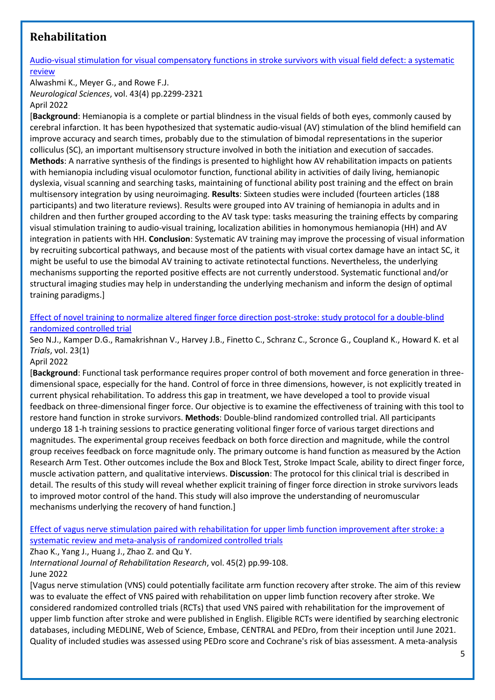## <span id="page-4-0"></span>**Rehabilitation**

### [Audio-visual stimulation for visual compensatory functions in stroke survivors with visual field defect: a systematic](https://libkey.io/libraries/2554/10.1007/s10072-022-05926-y)  [review](https://libkey.io/libraries/2554/10.1007/s10072-022-05926-y)

Alwashmi K., Meyer G., and Rowe F.J. *Neurological Sciences*, vol. 43(4) pp.2299-2321 April 2022

[**Background**: Hemianopia is a complete or partial blindness in the visual fields of both eyes, commonly caused by cerebral infarction. It has been hypothesized that systematic audio-visual (AV) stimulation of the blind hemifield can improve accuracy and search times, probably due to the stimulation of bimodal representations in the superior colliculus (SC), an important multisensory structure involved in both the initiation and execution of saccades. **Methods**: A narrative synthesis of the findings is presented to highlight how AV rehabilitation impacts on patients with hemianopia including visual oculomotor function, functional ability in activities of daily living, hemianopic dyslexia, visual scanning and searching tasks, maintaining of functional ability post training and the effect on brain multisensory integration by using neuroimaging. **Results**: Sixteen studies were included (fourteen articles (188 participants) and two literature reviews). Results were grouped into AV training of hemianopia in adults and in children and then further grouped according to the AV task type: tasks measuring the training effects by comparing visual stimulation training to audio-visual training, localization abilities in homonymous hemianopia (HH) and AV integration in patients with HH. **Conclusion**: Systematic AV training may improve the processing of visual information by recruiting subcortical pathways, and because most of the patients with visual cortex damage have an intact SC, it might be useful to use the bimodal AV training to activate retinotectal functions. Nevertheless, the underlying mechanisms supporting the reported positive effects are not currently understood. Systematic functional and/or structural imaging studies may help in understanding the underlying mechanism and inform the design of optimal training paradigms.]

#### [Effect of novel training to normalize altered finger force direction post-stroke: study protocol for a double-blind](https://libkey.io/libraries/2554/10.1186/s13063-022-06224-w)  [randomized controlled trial](https://libkey.io/libraries/2554/10.1186/s13063-022-06224-w)

Seo N.J., Kamper D.G., Ramakrishnan V., Harvey J.B., Finetto C., Schranz C., Scronce G., Coupland K., Howard K. et al *Trials*, vol. 23(1)

#### April 2022

[**Background**: Functional task performance requires proper control of both movement and force generation in threedimensional space, especially for the hand. Control of force in three dimensions, however, is not explicitly treated in current physical rehabilitation. To address this gap in treatment, we have developed a tool to provide visual feedback on three-dimensional finger force. Our objective is to examine the effectiveness of training with this tool to restore hand function in stroke survivors. **Methods**: Double-blind randomized controlled trial. All participants undergo 18 1-h training sessions to practice generating volitional finger force of various target directions and magnitudes. The experimental group receives feedback on both force direction and magnitude, while the control group receives feedback on force magnitude only. The primary outcome is hand function as measured by the Action Research Arm Test. Other outcomes include the Box and Block Test, Stroke Impact Scale, ability to direct finger force, muscle activation pattern, and qualitative interviews. **Discussion**: The protocol for this clinical trial is described in detail. The results of this study will reveal whether explicit training of finger force direction in stroke survivors leads to improved motor control of the hand. This study will also improve the understanding of neuromuscular mechanisms underlying the recovery of hand function.]

#### [Effect of vagus nerve stimulation paired with rehabilitation for upper limb function improvement after stroke: a](https://journals.lww.com/intjrehabilres/Fulltext/2022/06000/Effect_of_vagus_nerve_stimulation_paired_with.1.aspx)  [systematic review and meta-analysis of randomized controlled trials](https://journals.lww.com/intjrehabilres/Fulltext/2022/06000/Effect_of_vagus_nerve_stimulation_paired_with.1.aspx)

Zhao K., Yang J., Huang J., Zhao Z. and Qu Y.

*International Journal of Rehabilitation Research*, vol. 45(2) pp.99-108. June 2022

[Vagus nerve stimulation (VNS) could potentially facilitate arm function recovery after stroke. The aim of this review was to evaluate the effect of VNS paired with rehabilitation on upper limb function recovery after stroke. We considered randomized controlled trials (RCTs) that used VNS paired with rehabilitation for the improvement of upper limb function after stroke and were published in English. Eligible RCTs were identified by searching electronic databases, including MEDLINE, Web of Science, Embase, CENTRAL and PEDro, from their inception until June 2021. Quality of included studies was assessed using PEDro score and Cochrane's risk of bias assessment. A meta-analysis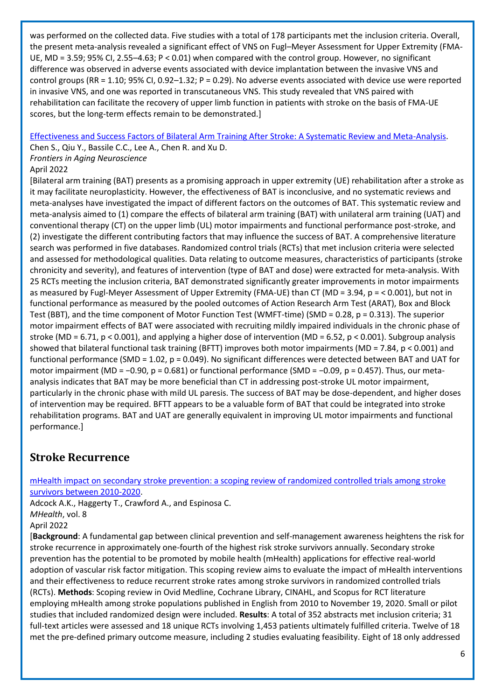was performed on the collected data. Five studies with a total of 178 participants met the inclusion criteria. Overall, the present meta-analysis revealed a significant effect of VNS on Fugl–Meyer Assessment for Upper Extremity (FMA-UE, MD = 3.59; 95% CI, 2.55–4.63; P < 0.01) when compared with the control group. However, no significant difference was observed in adverse events associated with device implantation between the invasive VNS and control groups (RR = 1.10; 95% CI, 0.92–1.32; P = 0.29). No adverse events associated with device use were reported in invasive VNS, and one was reported in transcutaneous VNS. This study revealed that VNS paired with rehabilitation can facilitate the recovery of upper limb function in patients with stroke on the basis of FMA-UE scores, but the long-term effects remain to be demonstrated.]

[Effectiveness and Success Factors of Bilateral Arm Training After Stroke: A Systematic Review and Meta-Analysis.](https://www.frontiersin.org/articles/10.3389/fnagi.2022.875794/full)

Chen S., Qiu Y., Bassile C.C., Lee A., Chen R. and Xu D.

*Frontiers in Aging Neuroscience*

#### April 2022

[Bilateral arm training (BAT) presents as a promising approach in upper extremity (UE) rehabilitation after a stroke as it may facilitate neuroplasticity. However, the effectiveness of BAT is inconclusive, and no systematic reviews and meta-analyses have investigated the impact of different factors on the outcomes of BAT. This systematic review and meta-analysis aimed to (1) compare the effects of bilateral arm training (BAT) with unilateral arm training (UAT) and conventional therapy (CT) on the upper limb (UL) motor impairments and functional performance post-stroke, and (2) investigate the different contributing factors that may influence the success of BAT. A comprehensive literature search was performed in five databases. Randomized control trials (RCTs) that met inclusion criteria were selected and assessed for methodological qualities. Data relating to outcome measures, characteristics of participants (stroke chronicity and severity), and features of intervention (type of BAT and dose) were extracted for meta-analysis. With 25 RCTs meeting the inclusion criteria, BAT demonstrated significantly greater improvements in motor impairments as measured by Fugl-Meyer Assessment of Upper Extremity (FMA-UE) than CT (MD = 3.94, p = < 0.001), but not in functional performance as measured by the pooled outcomes of Action Research Arm Test (ARAT), Box and Block Test (BBT), and the time component of Motor Function Test (WMFT-time) (SMD = 0.28, p = 0.313). The superior motor impairment effects of BAT were associated with recruiting mildly impaired individuals in the chronic phase of stroke (MD = 6.71, p < 0.001), and applying a higher dose of intervention (MD = 6.52, p < 0.001). Subgroup analysis showed that bilateral functional task training (BFTT) improves both motor impairments (MD = 7.84, p < 0.001) and functional performance (SMD = 1.02, p = 0.049). No significant differences were detected between BAT and UAT for motor impairment (MD = −0.90, p = 0.681) or functional performance (SMD = −0.09, p = 0.457). Thus, our metaanalysis indicates that BAT may be more beneficial than CT in addressing post-stroke UL motor impairment, particularly in the chronic phase with mild UL paresis. The success of BAT may be dose-dependent, and higher doses of intervention may be required. BFTT appears to be a valuable form of BAT that could be integrated into stroke rehabilitation programs. BAT and UAT are generally equivalent in improving UL motor impairments and functional performance.]

## <span id="page-5-0"></span>**Stroke Recurrence**

[mHealth impact on secondary stroke prevention: a scoping review of randomized controlled trials among stroke](https://libkey.io/libraries/2554/10.21037/mhealth-21-27)  [survivors between 2010-2020.](https://libkey.io/libraries/2554/10.21037/mhealth-21-27)

Adcock A.K., Haggerty T., Crawford A., and Espinosa C. *MHealth*, vol. 8

#### April 2022

[**Background**: A fundamental gap between clinical prevention and self-management awareness heightens the risk for stroke recurrence in approximately one-fourth of the highest risk stroke survivors annually. Secondary stroke prevention has the potential to be promoted by mobile health (mHealth) applications for effective real-world adoption of vascular risk factor mitigation. This scoping review aims to evaluate the impact of mHealth interventions and their effectiveness to reduce recurrent stroke rates among stroke survivors in randomized controlled trials (RCTs). **Methods**: Scoping review in Ovid Medline, Cochrane Library, CINAHL, and Scopus for RCT literature employing mHealth among stroke populations published in English from 2010 to November 19, 2020. Small or pilot studies that included randomized design were included. **Results**: A total of 352 abstracts met inclusion criteria; 31 full-text articles were assessed and 18 unique RCTs involving 1,453 patients ultimately fulfilled criteria. Twelve of 18 met the pre-defined primary outcome measure, including 2 studies evaluating feasibility. Eight of 18 only addressed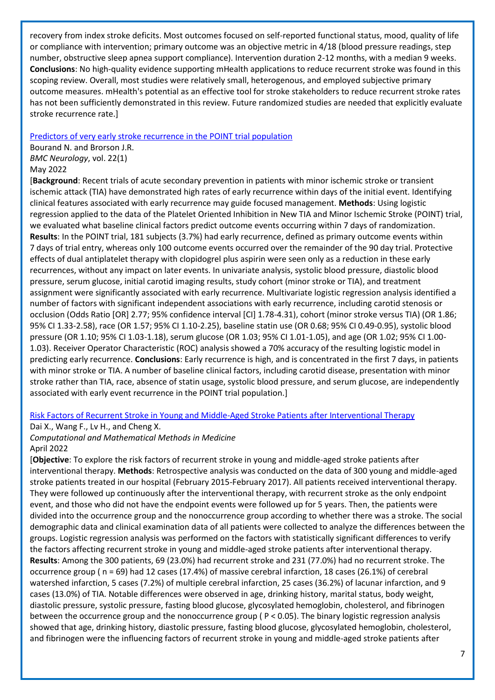recovery from index stroke deficits. Most outcomes focused on self-reported functional status, mood, quality of life or compliance with intervention; primary outcome was an objective metric in 4/18 (blood pressure readings, step number, obstructive sleep apnea support compliance). Intervention duration 2-12 months, with a median 9 weeks. **Conclusions**: No high-quality evidence supporting mHealth applications to reduce recurrent stroke was found in this scoping review. Overall, most studies were relatively small, heterogenous, and employed subjective primary outcome measures. mHealth's potential as an effective tool for stroke stakeholders to reduce recurrent stroke rates has not been sufficiently demonstrated in this review. Future randomized studies are needed that explicitly evaluate stroke recurrence rate.]

#### [Predictors of very early stroke recurrence in the POINT trial population](https://libkey.io/libraries/2554/10.1186/s12883-022-02703-4)

Bourand N. and Brorson J.R. *BMC Neurology*, vol. 22(1) May 2022

[**Background**: Recent trials of acute secondary prevention in patients with minor ischemic stroke or transient ischemic attack (TIA) have demonstrated high rates of early recurrence within days of the initial event. Identifying clinical features associated with early recurrence may guide focused management. **Methods**: Using logistic regression applied to the data of the Platelet Oriented Inhibition in New TIA and Minor Ischemic Stroke (POINT) trial, we evaluated what baseline clinical factors predict outcome events occurring within 7 days of randomization. **Results**: In the POINT trial, 181 subjects (3.7%) had early recurrence, defined as primary outcome events within 7 days of trial entry, whereas only 100 outcome events occurred over the remainder of the 90 day trial. Protective effects of dual antiplatelet therapy with clopidogrel plus aspirin were seen only as a reduction in these early recurrences, without any impact on later events. In univariate analysis, systolic blood pressure, diastolic blood pressure, serum glucose, initial carotid imaging results, study cohort (minor stroke or TIA), and treatment assignment were significantly associated with early recurrence. Multivariate logistic regression analysis identified a number of factors with significant independent associations with early recurrence, including carotid stenosis or occlusion (Odds Ratio [OR] 2.77; 95% confidence interval [CI] 1.78-4.31), cohort (minor stroke versus TIA) (OR 1.86; 95% CI 1.33-2.58), race (OR 1.57; 95% CI 1.10-2.25), baseline statin use (OR 0.68; 95% CI 0.49-0.95), systolic blood pressure (OR 1.10; 95% CI 1.03-1.18), serum glucose (OR 1.03; 95% CI 1.01-1.05), and age (OR 1.02; 95% CI 1.00- 1.03). Receiver Operator Characteristic (ROC) analysis showed a 70% accuracy of the resulting logistic model in predicting early recurrence. **Conclusions**: Early recurrence is high, and is concentrated in the first 7 days, in patients with minor stroke or TIA. A number of baseline clinical factors, including carotid disease, presentation with minor stroke rather than TIA, race, absence of statin usage, systolic blood pressure, and serum glucose, are independently associated with early event recurrence in the POINT trial population.]

#### [Risk Factors of Recurrent Stroke in Young and Middle-Aged Stroke Patients after](https://libkey.io/libraries/2554/10.1155/2022/5728991) Interventional Therapy

Dai X., Wang F., Lv H., and Cheng X.

#### *Computational and Mathematical Methods in Medicine* April 2022

[**Objective**: To explore the risk factors of recurrent stroke in young and middle-aged stroke patients after interventional therapy. **Methods**: Retrospective analysis was conducted on the data of 300 young and middle-aged stroke patients treated in our hospital (February 2015-February 2017). All patients received interventional therapy. They were followed up continuously after the interventional therapy, with recurrent stroke as the only endpoint event, and those who did not have the endpoint events were followed up for 5 years. Then, the patients were divided into the occurrence group and the nonoccurrence group according to whether there was a stroke. The social demographic data and clinical examination data of all patients were collected to analyze the differences between the groups. Logistic regression analysis was performed on the factors with statistically significant differences to verify the factors affecting recurrent stroke in young and middle-aged stroke patients after interventional therapy. **Results**: Among the 300 patients, 69 (23.0%) had recurrent stroke and 231 (77.0%) had no recurrent stroke. The occurrence group ( n = 69) had 12 cases (17.4%) of massive cerebral infarction, 18 cases (26.1%) of cerebral watershed infarction, 5 cases (7.2%) of multiple cerebral infarction, 25 cases (36.2%) of lacunar infarction, and 9 cases (13.0%) of TIA. Notable differences were observed in age, drinking history, marital status, body weight, diastolic pressure, systolic pressure, fasting blood glucose, glycosylated hemoglobin, cholesterol, and fibrinogen between the occurrence group and the nonoccurrence group ( P < 0.05). The binary logistic regression analysis showed that age, drinking history, diastolic pressure, fasting blood glucose, glycosylated hemoglobin, cholesterol, and fibrinogen were the influencing factors of recurrent stroke in young and middle-aged stroke patients after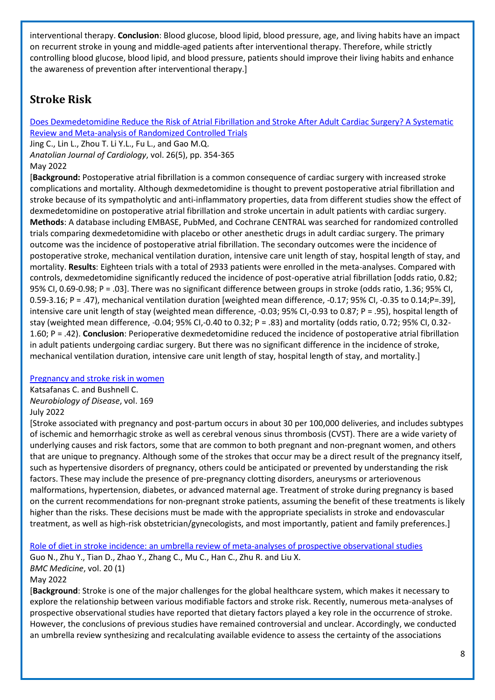interventional therapy. **Conclusion**: Blood glucose, blood lipid, blood pressure, age, and living habits have an impact on recurrent stroke in young and middle-aged patients after interventional therapy. Therefore, while strictly controlling blood glucose, blood lipid, and blood pressure, patients should improve their living habits and enhance the awareness of prevention after interventional therapy.]

## <span id="page-7-0"></span>**Stroke Risk**

[Does Dexmedetomidine Reduce the Risk of Atrial Fibrillation and Stroke After Adult Cardiac Surgery? A Systematic](https://libkey.io/libraries/2554/10.5152/AnatolJCardiol.2022.1346)  [Review and Meta-analysis of Randomized Controlled Trials](https://libkey.io/libraries/2554/10.5152/AnatolJCardiol.2022.1346)

Jing C., Lin L., Zhou T. Li Y.L., Fu L., and Gao M.Q. *Anatolian Journal of Cardiology*, vol. 26(5), pp. 354-365 May 2022

[**Background:** Postoperative atrial fibrillation is a common consequence of cardiac surgery with increased stroke complications and mortality. Although dexmedetomidine is thought to prevent postoperative atrial fibrillation and stroke because of its sympatholytic and anti-inflammatory properties, data from different studies show the effect of dexmedetomidine on postoperative atrial fibrillation and stroke uncertain in adult patients with cardiac surgery. **Methods**: A database including EMBASE, PubMed, and Cochrane CENTRAL was searched for randomized controlled trials comparing dexmedetomidine with placebo or other anesthetic drugs in adult cardiac surgery. The primary outcome was the incidence of postoperative atrial fibrillation. The secondary outcomes were the incidence of postoperative stroke, mechanical ventilation duration, intensive care unit length of stay, hospital length of stay, and mortality. **Results**: Eighteen trials with a total of 2933 patients were enrolled in the meta-analyses. Compared with controls, dexmedetomidine significantly reduced the incidence of post-operative atrial fibrillation [odds ratio, 0.82; 95% CI, 0.69-0.98; P = .03]. There was no significant difference between groups in stroke (odds ratio, 1.36; 95% CI, 0.59-3.16; P = .47), mechanical ventilation duration [weighted mean difference, -0.17; 95% CI, -0.35 to 0.14;P=.39], intensive care unit length of stay (weighted mean difference, -0.03; 95% CI,-0.93 to 0.87; P = .95), hospital length of stay (weighted mean difference, -0.04; 95% CI,-0.40 to 0.32; P = .83) and mortality (odds ratio, 0.72; 95% CI, 0.32- 1.60; P = .42). **Conclusion**: Perioperative dexmedetomidine reduced the incidence of postoperative atrial fibrillation in adult patients undergoing cardiac surgery. But there was no significant difference in the incidence of stroke, mechanical ventilation duration, intensive care unit length of stay, hospital length of stay, and mortality.]

#### [Pregnancy and stroke risk in women](https://www.sciencedirect.com/science/article/pii/S0969996122001279?via%3Dihub)

Katsafanas C. and Bushnell C. *Neurobiology of Disease*, vol. 169 July 2022

[Stroke associated with pregnancy and post-partum occurs in about 30 per 100,000 deliveries, and includes subtypes of ischemic and hemorrhagic stroke as well as cerebral venous sinus thrombosis (CVST). There are a wide variety of underlying causes and risk factors, some that are common to both pregnant and non-pregnant women, and others that are unique to pregnancy. Although some of the strokes that occur may be a direct result of the pregnancy itself, such as hypertensive disorders of pregnancy, others could be anticipated or prevented by understanding the risk factors. These may include the presence of pre-pregnancy clotting disorders, aneurysms or arteriovenous malformations, hypertension, diabetes, or advanced maternal age. Treatment of stroke during pregnancy is based on the current recommendations for non-pregnant stroke patients, assuming the benefit of these treatments is likely higher than the risks. These decisions must be made with the appropriate specialists in stroke and endovascular treatment, as well as high-risk obstetrician/gynecologists, and most importantly, patient and family preferences.]

[Role of diet in stroke incidence: an umbrella review of meta-analyses of prospective observational studies](https://libkey.io/libraries/2554/10.1186/s12916-022-02381-6) Guo N., Zhu Y., Tian D., Zhao Y., Zhang C., Mu C., Han C., Zhu R. and Liu X. *BMC Medicine*, vol. 20 (1) May 2022

[**Background**: Stroke is one of the major challenges for the global healthcare system, which makes it necessary to explore the relationship between various modifiable factors and stroke risk. Recently, numerous meta-analyses of prospective observational studies have reported that dietary factors played a key role in the occurrence of stroke. However, the conclusions of previous studies have remained controversial and unclear. Accordingly, we conducted an umbrella review synthesizing and recalculating available evidence to assess the certainty of the associations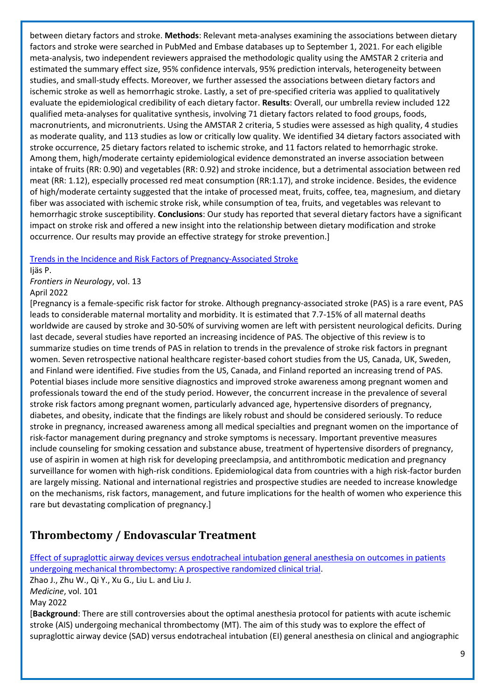between dietary factors and stroke. **Methods**: Relevant meta-analyses examining the associations between dietary factors and stroke were searched in PubMed and Embase databases up to September 1, 2021. For each eligible meta-analysis, two independent reviewers appraised the methodologic quality using the AMSTAR 2 criteria and estimated the summary effect size, 95% confidence intervals, 95% prediction intervals, heterogeneity between studies, and small-study effects. Moreover, we further assessed the associations between dietary factors and ischemic stroke as well as hemorrhagic stroke. Lastly, a set of pre-specified criteria was applied to qualitatively evaluate the epidemiological credibility of each dietary factor. **Results**: Overall, our umbrella review included 122 qualified meta-analyses for qualitative synthesis, involving 71 dietary factors related to food groups, foods, macronutrients, and micronutrients. Using the AMSTAR 2 criteria, 5 studies were assessed as high quality, 4 studies as moderate quality, and 113 studies as low or critically low quality. We identified 34 dietary factors associated with stroke occurrence, 25 dietary factors related to ischemic stroke, and 11 factors related to hemorrhagic stroke. Among them, high/moderate certainty epidemiological evidence demonstrated an inverse association between intake of fruits (RR: 0.90) and vegetables (RR: 0.92) and stroke incidence, but a detrimental association between red meat (RR: 1.12), especially processed red meat consumption (RR:1.17), and stroke incidence. Besides, the evidence of high/moderate certainty suggested that the intake of processed meat, fruits, coffee, tea, magnesium, and dietary fiber was associated with ischemic stroke risk, while consumption of tea, fruits, and vegetables was relevant to hemorrhagic stroke susceptibility. **Conclusions**: Our study has reported that several dietary factors have a significant impact on stroke risk and offered a new insight into the relationship between dietary modification and stroke occurrence. Our results may provide an effective strategy for stroke prevention.]

#### [Trends in the Incidence and Risk Factors of Pregnancy-Associated Stroke](https://libkey.io/libraries/2554/10.3389/fneur.2022.833215)

Ijäs P.

*Frontiers in Neurology*, vol. 13 April 2022

[Pregnancy is a female-specific risk factor for stroke. Although pregnancy-associated stroke (PAS) is a rare event, PAS leads to considerable maternal mortality and morbidity. It is estimated that 7.7-15% of all maternal deaths worldwide are caused by stroke and 30-50% of surviving women are left with persistent neurological deficits. During last decade, several studies have reported an increasing incidence of PAS. The objective of this review is to summarize studies on time trends of PAS in relation to trends in the prevalence of stroke risk factors in pregnant women. Seven retrospective national healthcare register-based cohort studies from the US, Canada, UK, Sweden, and Finland were identified. Five studies from the US, Canada, and Finland reported an increasing trend of PAS. Potential biases include more sensitive diagnostics and improved stroke awareness among pregnant women and professionals toward the end of the study period. However, the concurrent increase in the prevalence of several stroke risk factors among pregnant women, particularly advanced age, hypertensive disorders of pregnancy, diabetes, and obesity, indicate that the findings are likely robust and should be considered seriously. To reduce stroke in pregnancy, increased awareness among all medical specialties and pregnant women on the importance of risk-factor management during pregnancy and stroke symptoms is necessary. Important preventive measures include counseling for smoking cessation and substance abuse, treatment of hypertensive disorders of pregnancy, use of aspirin in women at high risk for developing preeclampsia, and antithrombotic medication and pregnancy surveillance for women with high-risk conditions. Epidemiological data from countries with a high risk-factor burden are largely missing. National and international registries and prospective studies are needed to increase knowledge on the mechanisms, risk factors, management, and future implications for the health of women who experience this rare but devastating complication of pregnancy.]

## <span id="page-8-0"></span>**Thrombectomy / Endovascular Treatment**

[Effect of supraglottic airway devices versus endotracheal intubation general anesthesia on outcomes in patients](https://journals.lww.com/md-journal/Fulltext/2022/05060/Effect_of_supraglottic_airway_devices_versus.3.aspx)  [undergoing mechanical thrombectomy: A prospective randomized clinical trial.](https://journals.lww.com/md-journal/Fulltext/2022/05060/Effect_of_supraglottic_airway_devices_versus.3.aspx) Zhao J., Zhu W., Qi Y., Xu G., Liu L. and Liu J. *Medicine*, vol. 101 May 2022 [**Background**: There are still controversies about the optimal anesthesia protocol for patients with acute ischemic stroke (AIS) undergoing mechanical thrombectomy (MT). The aim of this study was to explore the effect of supraglottic airway device (SAD) versus endotracheal intubation (EI) general anesthesia on clinical and angiographic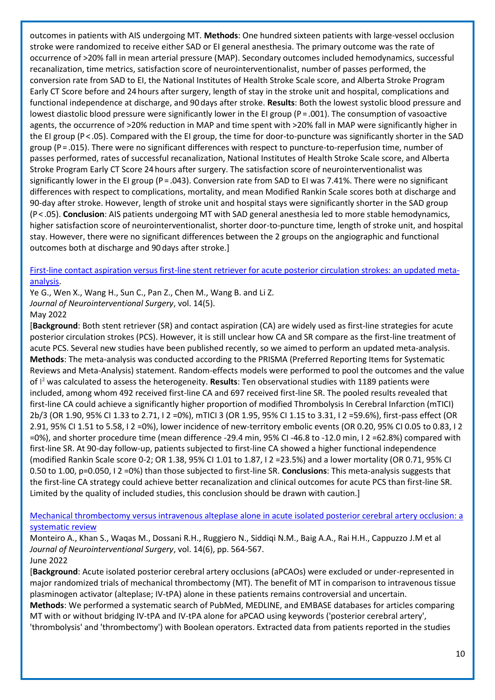outcomes in patients with AIS undergoing MT. **Methods**: One hundred sixteen patients with large-vessel occlusion stroke were randomized to receive either SAD or EI general anesthesia. The primary outcome was the rate of occurrence of >20% fall in mean arterial pressure (MAP). Secondary outcomes included hemodynamics, successful recanalization, time metrics, satisfaction score of neurointerventionalist, number of passes performed, the conversion rate from SAD to EI, the National Institutes of Health Stroke Scale score, and Alberta Stroke Program Early CT Score before and 24 hours after surgery, length of stay in the stroke unit and hospital, complications and functional independence at discharge, and 90 days after stroke. **Results**: Both the lowest systolic blood pressure and lowest diastolic blood pressure were significantly lower in the EI group (P = .001). The consumption of vasoactive agents, the occurrence of >20% reduction in MAP and time spent with >20% fall in MAP were significantly higher in the EI group (P < .05). Compared with the EI group, the time for door-to-puncture was significantly shorter in the SAD group (P = .015). There were no significant differences with respect to puncture-to-reperfusion time, number of passes performed, rates of successful recanalization, National Institutes of Health Stroke Scale score, and Alberta Stroke Program Early CT Score 24 hours after surgery. The satisfaction score of neurointerventionalist was significantly lower in the EI group (P = .043). Conversion rate from SAD to EI was 7.41%. There were no significant differences with respect to complications, mortality, and mean Modified Rankin Scale scores both at discharge and 90-day after stroke. However, length of stroke unit and hospital stays were significantly shorter in the SAD group (P < .05). **Conclusion**: AIS patients undergoing MT with SAD general anesthesia led to more stable hemodynamics, higher satisfaction score of neurointerventionalist, shorter door-to-puncture time, length of stroke unit, and hospital stay. However, there were no significant differences between the 2 groups on the angiographic and functional outcomes both at discharge and 90 days after stroke.]

#### [First-line contact aspiration versus first-line stent retriever for acute posterior circulation strokes: an updated meta](https://libkey.io/libraries/2554/10.1136/neurintsurg-2021-017497)[analysis.](https://libkey.io/libraries/2554/10.1136/neurintsurg-2021-017497)

Ye G., Wen X., Wang H., Sun C., Pan Z., Chen M., Wang B. and Li Z.

*Journal of Neurointerventional Surgery*, vol. 14(5).

May 2022

[**Background**: Both stent retriever (SR) and contact aspiration (CA) are widely used as first-line strategies for acute posterior circulation strokes (PCS). However, it is still unclear how CA and SR compare as the first-line treatment of acute PCS. Several new studies have been published recently, so we aimed to perform an updated meta-analysis. **Methods**: The meta-analysis was conducted according to the PRISMA (Preferred Reporting Items for Systematic Reviews and Meta-Analysis) statement. Random-effects models were performed to pool the outcomes and the value of I <sup>2</sup> was calculated to assess the heterogeneity. **Results**: Ten observational studies with 1189 patients were included, among whom 492 received first-line CA and 697 received first-line SR. The pooled results revealed that first-line CA could achieve a significantly higher proportion of modified Thrombolysis In Cerebral Infarction (mTICI) 2b/3 (OR 1.90, 95% CI 1.33 to 2.71, I 2 =0%), mTICI 3 (OR 1.95, 95% CI 1.15 to 3.31, I 2 =59.6%), first-pass effect (OR 2.91, 95% CI 1.51 to 5.58, I 2 =0%), lower incidence of new-territory embolic events (OR 0.20, 95% CI 0.05 to 0.83, I 2 =0%), and shorter procedure time (mean difference -29.4 min, 95% CI -46.8 to -12.0 min, I 2 =62.8%) compared with first-line SR. At 90-day follow-up, patients subjected to first-line CA showed a higher functional independence (modified Rankin Scale score 0-2; OR 1.38, 95% CI 1.01 to 1.87, I 2 =23.5%) and a lower mortality (OR 0.71, 95% CI 0.50 to 1.00, p=0.050, I 2 =0%) than those subjected to first-line SR. **Conclusions**: This meta-analysis suggests that the first-line CA strategy could achieve better recanalization and clinical outcomes for acute PCS than first-line SR. Limited by the quality of included studies, this conclusion should be drawn with caution.]

#### [Mechanical thrombectomy versus intravenous alteplase alone in acute isolated posterior cerebral artery occlusion: a](https://libkey.io/libraries/2554/10.1136/neurintsurg-2021-018017)  [systematic review](https://libkey.io/libraries/2554/10.1136/neurintsurg-2021-018017)

Monteiro A., Khan S., Waqas M., Dossani R.H., Ruggiero N., Siddiqi N.M., Baig A.A., Rai H.H., Cappuzzo J.M et al *Journal of Neurointerventional Surgery*, vol. 14(6), pp. 564-567. June 2022

[**Background**: Acute isolated posterior cerebral artery occlusions (aPCAOs) were excluded or under-represented in major randomized trials of mechanical thrombectomy (MT). The benefit of MT in comparison to intravenous tissue plasminogen activator (alteplase; IV-tPA) alone in these patients remains controversial and uncertain.

**Methods**: We performed a systematic search of PubMed, MEDLINE, and EMBASE databases for articles comparing MT with or without bridging IV-tPA and IV-tPA alone for aPCAO using keywords ('posterior cerebral artery', 'thrombolysis' and 'thrombectomy') with Boolean operators. Extracted data from patients reported in the studies